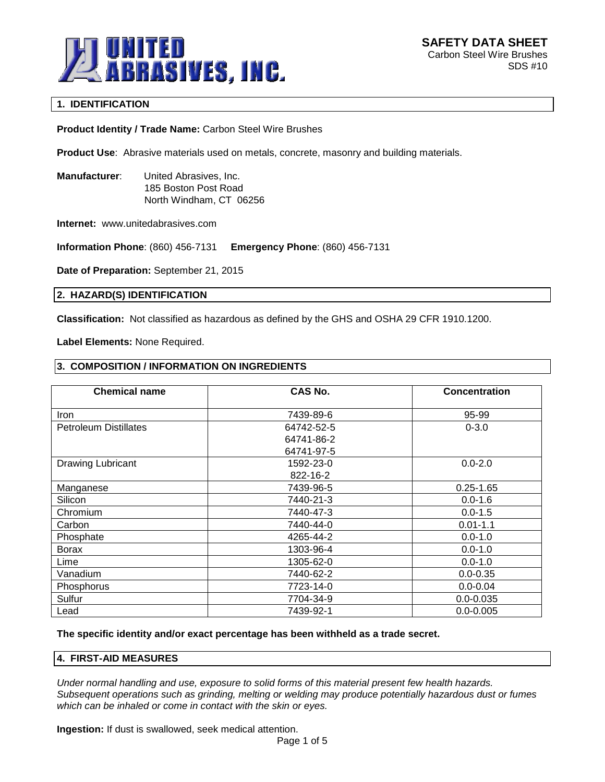

# **1. IDENTIFICATION**

**Product Identity / Trade Name:** Carbon Steel Wire Brushes

**Product Use**: Abrasive materials used on metals, concrete, masonry and building materials.

**Manufacturer**: United Abrasives, Inc. 185 Boston Post Road North Windham, CT 06256

**Internet:** www.unitedabrasives.com

**Information Phone**: (860) 456-7131 **Emergency Phone**: (860) 456-7131

**Date of Preparation:** September 21, 2015

# **2. HAZARD(S) IDENTIFICATION**

**Classification:** Not classified as hazardous as defined by the GHS and OSHA 29 CFR 1910.1200.

**Label Elements:** None Required.

# **3. COMPOSITION / INFORMATION ON INGREDIENTS**

| <b>Chemical name</b>         | <b>CAS No.</b> | <b>Concentration</b> |
|------------------------------|----------------|----------------------|
| <b>Iron</b>                  | 7439-89-6      | 95-99                |
| <b>Petroleum Distillates</b> | 64742-52-5     | $0 - 3.0$            |
|                              | 64741-86-2     |                      |
|                              | 64741-97-5     |                      |
| Drawing Lubricant            | 1592-23-0      | $0.0 - 2.0$          |
|                              | 822-16-2       |                      |
| Manganese                    | 7439-96-5      | $0.25 - 1.65$        |
| Silicon                      | 7440-21-3      | $0.0 - 1.6$          |
| Chromium                     | 7440-47-3      | $0.0 - 1.5$          |
| Carbon                       | 7440-44-0      | $0.01 - 1.1$         |
| Phosphate                    | 4265-44-2      | $0.0 - 1.0$          |
| <b>Borax</b>                 | 1303-96-4      | $0.0 - 1.0$          |
| Lime                         | 1305-62-0      | $0.0 - 1.0$          |
| Vanadium                     | 7440-62-2      | $0.0 - 0.35$         |
| Phosphorus                   | 7723-14-0      | $0.0 - 0.04$         |
| Sulfur                       | 7704-34-9      | $0.0 - 0.035$        |
| Lead                         | 7439-92-1      | $0.0 - 0.005$        |

**The specific identity and/or exact percentage has been withheld as a trade secret.**

### **4. FIRST-AID MEASURES**

*Under normal handling and use, exposure to solid forms of this material present few health hazards. Subsequent operations such as grinding, melting or welding may produce potentially hazardous dust or fumes which can be inhaled or come in contact with the skin or eyes.*

**Ingestion:** If dust is swallowed, seek medical attention.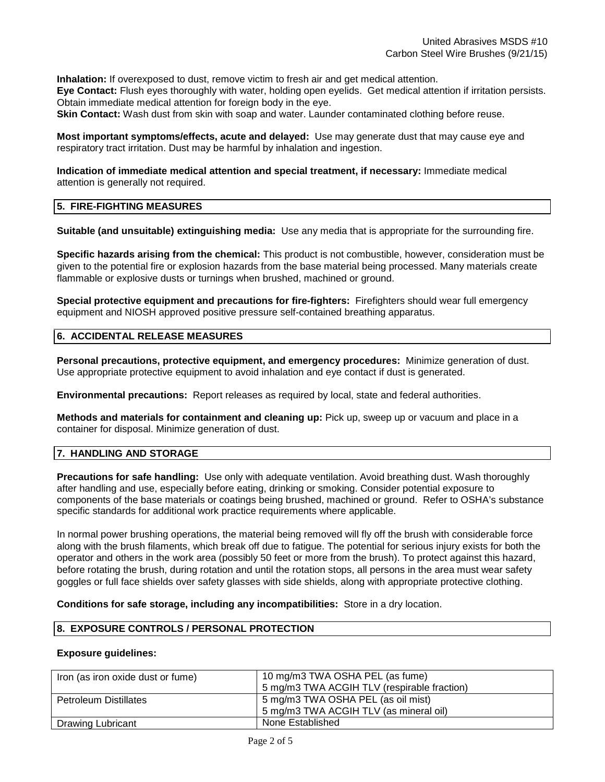**Inhalation:** If overexposed to dust, remove victim to fresh air and get medical attention. **Eye Contact:** Flush eyes thoroughly with water, holding open eyelids. Get medical attention if irritation persists. Obtain immediate medical attention for foreign body in the eye.

**Skin Contact:** Wash dust from skin with soap and water. Launder contaminated clothing before reuse.

**Most important symptoms/effects, acute and delayed:** Use may generate dust that may cause eye and respiratory tract irritation. Dust may be harmful by inhalation and ingestion.

**Indication of immediate medical attention and special treatment, if necessary:** Immediate medical attention is generally not required.

# **5. FIRE-FIGHTING MEASURES**

**Suitable (and unsuitable) extinguishing media:** Use any media that is appropriate for the surrounding fire.

**Specific hazards arising from the chemical:** This product is not combustible, however, consideration must be given to the potential fire or explosion hazards from the base material being processed. Many materials create flammable or explosive dusts or turnings when brushed, machined or ground.

**Special protective equipment and precautions for fire-fighters:** Firefighters should wear full emergency equipment and NIOSH approved positive pressure self-contained breathing apparatus.

# **6. ACCIDENTAL RELEASE MEASURES**

**Personal precautions, protective equipment, and emergency procedures:** Minimize generation of dust. Use appropriate protective equipment to avoid inhalation and eye contact if dust is generated.

**Environmental precautions:** Report releases as required by local, state and federal authorities.

**Methods and materials for containment and cleaning up:** Pick up, sweep up or vacuum and place in a container for disposal. Minimize generation of dust.

# **7. HANDLING AND STORAGE**

**Precautions for safe handling:** Use only with adequate ventilation. Avoid breathing dust. Wash thoroughly after handling and use, especially before eating, drinking or smoking. Consider potential exposure to components of the base materials or coatings being brushed, machined or ground. Refer to OSHA's substance specific standards for additional work practice requirements where applicable.

In normal power brushing operations, the material being removed will fly off the brush with considerable force along with the brush filaments, which break off due to fatigue. The potential for serious injury exists for both the operator and others in the work area (possibly 50 feet or more from the brush). To protect against this hazard, before rotating the brush, during rotation and until the rotation stops, all persons in the area must wear safety goggles or full face shields over safety glasses with side shields, along with appropriate protective clothing.

**Conditions for safe storage, including any incompatibilities:** Store in a dry location.

# **8. EXPOSURE CONTROLS / PERSONAL PROTECTION**

#### **Exposure guidelines:**

| Iron (as iron oxide dust or fume) | 10 mg/m3 TWA OSHA PEL (as fume)<br>5 mg/m3 TWA ACGIH TLV (respirable fraction) |
|-----------------------------------|--------------------------------------------------------------------------------|
| <b>Petroleum Distillates</b>      | 5 mg/m3 TWA OSHA PEL (as oil mist)<br>5 mg/m3 TWA ACGIH TLV (as mineral oil)   |
| <b>Drawing Lubricant</b>          | None Established                                                               |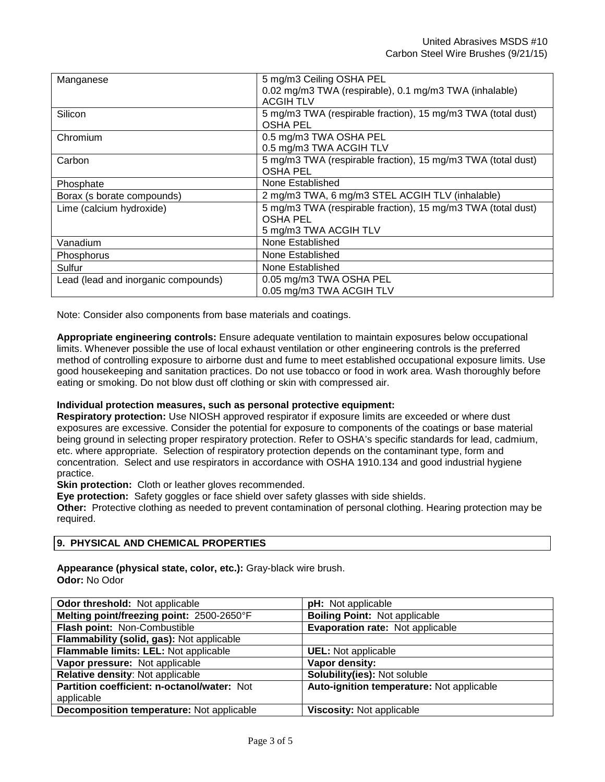| Manganese                           | 5 mg/m3 Ceiling OSHA PEL                                     |
|-------------------------------------|--------------------------------------------------------------|
|                                     | 0.02 mg/m3 TWA (respirable), 0.1 mg/m3 TWA (inhalable)       |
|                                     | <b>ACGIH TLV</b>                                             |
| Silicon                             | 5 mg/m3 TWA (respirable fraction), 15 mg/m3 TWA (total dust) |
|                                     | <b>OSHA PEL</b>                                              |
| Chromium                            | 0.5 mg/m3 TWA OSHA PEL                                       |
|                                     | 0.5 mg/m3 TWA ACGIH TLV                                      |
| Carbon                              | 5 mg/m3 TWA (respirable fraction), 15 mg/m3 TWA (total dust) |
|                                     | <b>OSHA PEL</b>                                              |
| Phosphate                           | None Established                                             |
| Borax (s borate compounds)          | 2 mg/m3 TWA, 6 mg/m3 STEL ACGIH TLV (inhalable)              |
| Lime (calcium hydroxide)            | 5 mg/m3 TWA (respirable fraction), 15 mg/m3 TWA (total dust) |
|                                     | OSHA PEL                                                     |
|                                     | 5 mg/m3 TWA ACGIH TLV                                        |
| Vanadium                            | None Established                                             |
| <b>Phosphorus</b>                   | None Established                                             |
| Sulfur                              | None Established                                             |
| Lead (lead and inorganic compounds) | 0.05 mg/m3 TWA OSHA PEL                                      |
|                                     | 0.05 mg/m3 TWA ACGIH TLV                                     |

Note: Consider also components from base materials and coatings.

**Appropriate engineering controls:** Ensure adequate ventilation to maintain exposures below occupational limits. Whenever possible the use of local exhaust ventilation or other engineering controls is the preferred method of controlling exposure to airborne dust and fume to meet established occupational exposure limits. Use good housekeeping and sanitation practices. Do not use tobacco or food in work area. Wash thoroughly before eating or smoking. Do not blow dust off clothing or skin with compressed air.

# **Individual protection measures, such as personal protective equipment:**

**Respiratory protection:** Use NIOSH approved respirator if exposure limits are exceeded or where dust exposures are excessive. Consider the potential for exposure to components of the coatings or base material being ground in selecting proper respiratory protection. Refer to OSHA's specific standards for lead, cadmium, etc. where appropriate. Selection of respiratory protection depends on the contaminant type, form and concentration. Select and use respirators in accordance with OSHA 1910.134 and good industrial hygiene practice.

**Skin protection:** Cloth or leather gloves recommended.

**Eye protection:** Safety goggles or face shield over safety glasses with side shields.

**Other:** Protective clothing as needed to prevent contamination of personal clothing. Hearing protection may be required.

# **9. PHYSICAL AND CHEMICAL PROPERTIES**

**Appearance (physical state, color, etc.):** Gray-black wire brush. **Odor:** No Odor

| <b>Odor threshold:</b> Not applicable       | pH: Not applicable                        |
|---------------------------------------------|-------------------------------------------|
| Melting point/freezing point: 2500-2650°F   | <b>Boiling Point: Not applicable</b>      |
| Flash point: Non-Combustible                | <b>Evaporation rate: Not applicable</b>   |
| Flammability (solid, gas): Not applicable   |                                           |
| Flammable limits: LEL: Not applicable       | <b>UEL:</b> Not applicable                |
| Vapor pressure: Not applicable              | Vapor density:                            |
| Relative density: Not applicable            | Solubility(ies): Not soluble              |
| Partition coefficient: n-octanol/water: Not | Auto-ignition temperature: Not applicable |
| applicable                                  |                                           |
| Decomposition temperature: Not applicable   | Viscosity: Not applicable                 |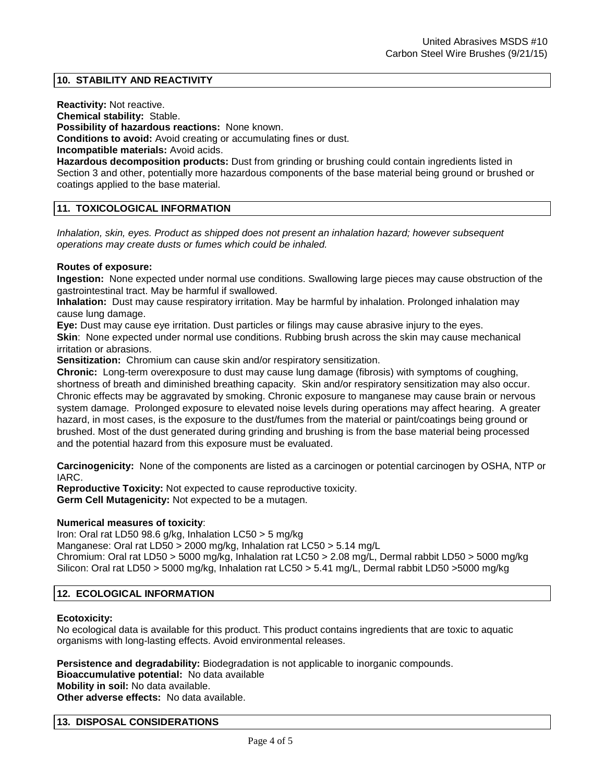# **10. STABILITY AND REACTIVITY**

**Reactivity:** Not reactive.

**Chemical stability:** Stable.

**Possibility of hazardous reactions:** None known.

**Conditions to avoid:** Avoid creating or accumulating fines or dust.

**Incompatible materials:** Avoid acids.

**Hazardous decomposition products:** Dust from grinding or brushing could contain ingredients listed in Section 3 and other, potentially more hazardous components of the base material being ground or brushed or coatings applied to the base material.

# **11. TOXICOLOGICAL INFORMATION**

*Inhalation, skin, eyes. Product as shipped does not present an inhalation hazard; however subsequent operations may create dusts or fumes which could be inhaled.*

# **Routes of exposure:**

**Ingestion:** None expected under normal use conditions. Swallowing large pieces may cause obstruction of the gastrointestinal tract. May be harmful if swallowed.

**Inhalation:** Dust may cause respiratory irritation. May be harmful by inhalation. Prolonged inhalation may cause lung damage.

**Eye:** Dust may cause eye irritation. Dust particles or filings may cause abrasive injury to the eyes. **Skin**: None expected under normal use conditions. Rubbing brush across the skin may cause mechanical irritation or abrasions.

**Sensitization:** Chromium can cause skin and/or respiratory sensitization.

**Chronic:** Long-term overexposure to dust may cause lung damage (fibrosis) with symptoms of coughing, shortness of breath and diminished breathing capacity. Skin and/or respiratory sensitization may also occur. Chronic effects may be aggravated by smoking. Chronic exposure to manganese may cause brain or nervous system damage. Prolonged exposure to elevated noise levels during operations may affect hearing. A greater hazard, in most cases, is the exposure to the dust/fumes from the material or paint/coatings being ground or brushed. Most of the dust generated during grinding and brushing is from the base material being processed and the potential hazard from this exposure must be evaluated.

**Carcinogenicity:** None of the components are listed as a carcinogen or potential carcinogen by OSHA, NTP or IARC.

**Reproductive Toxicity:** Not expected to cause reproductive toxicity. **Germ Cell Mutagenicity:** Not expected to be a mutagen.

# **Numerical measures of toxicity**:

Iron: Oral rat LD50 98.6 g/kg, Inhalation LC50 > 5 mg/kg

Manganese: Oral rat LD50 > 2000 mg/kg, Inhalation rat LC50 > 5.14 mg/L

Chromium: Oral rat LD50 > 5000 mg/kg, Inhalation rat LC50 > 2.08 mg/L, Dermal rabbit LD50 > 5000 mg/kg Silicon: Oral rat LD50 > 5000 mg/kg, Inhalation rat LC50 > 5.41 mg/L, Dermal rabbit LD50 >5000 mg/kg

# **12. ECOLOGICAL INFORMATION**

# **Ecotoxicity:**

No ecological data is available for this product. This product contains ingredients that are toxic to aquatic organisms with long-lasting effects. Avoid environmental releases.

**Persistence and degradability:** Biodegradation is not applicable to inorganic compounds.

**Bioaccumulative potential:** No data available

**Mobility in soil:** No data available.

**Other adverse effects:** No data available.

# **13. DISPOSAL CONSIDERATIONS**